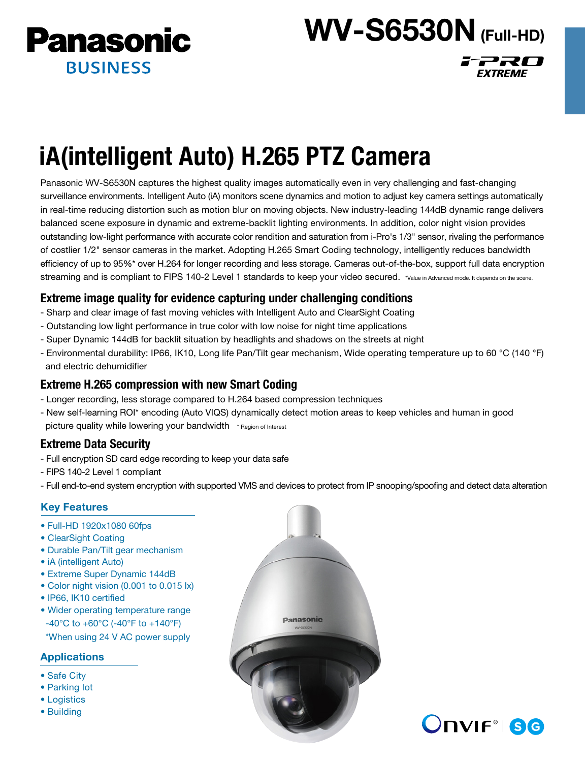

# **WV-S6530N** (Full-HD)

i<sup>-</sup>220

**EXTREME** 

# iA(intelligent Auto) H.265 PTZ Camera

Panasonic WV-S6530N captures the highest quality images automatically even in very challenging and fast-changing surveillance environments. Intelligent Auto (iA) monitors scene dynamics and motion to adjust key camera settings automatically in real-time reducing distortion such as motion blur on moving objects. New industry-leading 144dB dynamic range delivers balanced scene exposure in dynamic and extreme-backlit lighting environments. In addition, color night vision provides outstanding low-light performance with accurate color rendition and saturation from i-Pro's 1/3" sensor, rivaling the performance of costlier 1/2" sensor cameras in the market. Adopting H.265 Smart Coding technology, intelligently reduces bandwidth efficiency of up to 95%\* over H.264 for longer recording and less storage. Cameras out-of-the-box, support full data encryption streaming and is compliant to FIPS 140-2 Level 1 standards to keep your video secured. \*Value in Advanced mode. It depends on the scene.

# Extreme image quality for evidence capturing under challenging conditions

- Sharp and clear image of fast moving vehicles with Intelligent Auto and ClearSight Coating
- Outstanding low light performance in true color with low noise for night time applications
- Super Dynamic 144dB for backlit situation by headlights and shadows on the streets at night
- Environmental durability: IP66, IK10, Long life Pan/Tilt gear mechanism, Wide operating temperature up to 60 °C (140 °F) and electric dehumidifier

# Extreme H.265 compression with new Smart Coding

- Longer recording, less storage compared to H.264 based compression techniques
- New self-learning ROI\* encoding (Auto VIQS) dynamically detect motion areas to keep vehicles and human in good picture quality while lowering your bandwidth \* Region of Interest

# Extreme Data Security

- Full encryption SD card edge recording to keep your data safe
- FIPS 140-2 Level 1 compliant
- Full end-to-end system encryption with supported VMS and devices to protect from IP snooping/spoofing and detect data alteration

# Key Features

- Full-HD 1920x1080 60fps
- ClearSight Coating
- Durable Pan/Tilt gear mechanism
- iA (intelligent Auto)
- Extreme Super Dynamic 144dB
- Color night vision (0.001 to 0.015 lx)
- IP66, IK10 certified
- Wider operating temperature range -40°C to +60°C (-40°F to +140°F)
- \*When using 24 V AC power supply

# **Applications**

- Safe City
- Parking lot
- Logistics
- Building